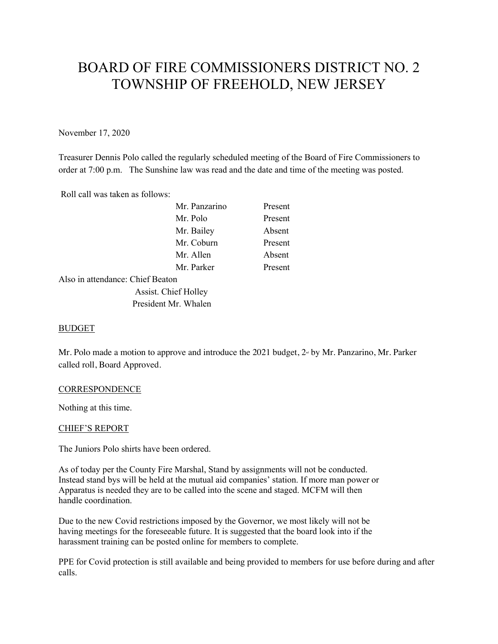# BOARD OF FIRE COMMISSIONERS DISTRICT NO. 2 TOWNSHIP OF FREEHOLD, NEW JERSEY

November 17, 2020

Treasurer Dennis Polo called the regularly scheduled meeting of the Board of Fire Commissioners to order at 7:00 p.m. The Sunshine law was read and the date and time of the meeting was posted.

Roll call was taken as follows:

|                                  | Mr. Panzarino        | Present |
|----------------------------------|----------------------|---------|
|                                  | Mr. Polo             | Present |
|                                  | Mr. Bailey           | Absent  |
|                                  | Mr. Coburn           | Present |
|                                  | Mr. Allen            | Absent  |
|                                  | Mr. Parker           | Present |
| Also in attendance: Chief Beaton |                      |         |
|                                  | Assist. Chief Holley |         |
|                                  | President Mr. Whalen |         |
|                                  |                      |         |

# BUDGET

Mr. Polo made a motion to approve and introduce the 2021 budget,  $2<sup>nd</sup>$  by Mr. Panzarino, Mr. Parker called roll, Board Approved.

### **CORRESPONDENCE**

Nothing at this time.

### CHIEF'S REPORT

The Juniors Polo shirts have been ordered.

As of today per the County Fire Marshal, Stand by assignments will not be conducted. Instead stand bys will be held at the mutual aid companies' station. If more man power or Apparatus is needed they are to be called into the scene and staged. MCFM will then handle coordination.

Due to the new Covid restrictions imposed by the Governor, we most likely will not be having meetings for the foreseeable future. It is suggested that the board look into if the harassment training can be posted online for members to complete.

PPE for Covid protection is still available and being provided to members for use before during and after calls.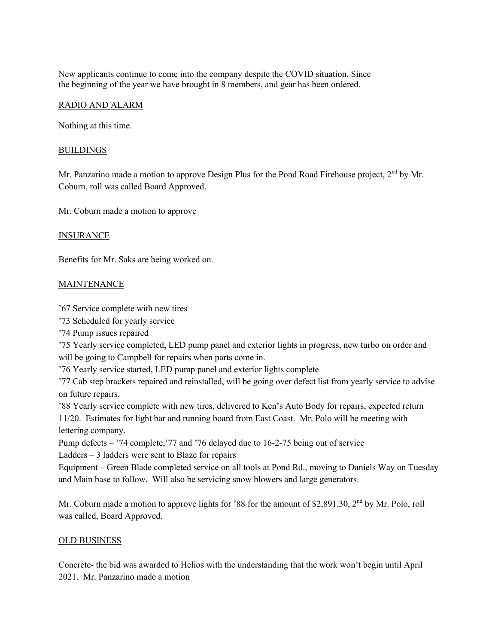New applicants continue to come into the company despite the COVID situation. Since the beginning of the year we have brought in 8 members, and gear has been ordered.

# RADIO AND ALARM

Nothing at this time.

# BUILDINGS

Mr. Panzarino made a motion to approve Design Plus for the Pond Road Firehouse project, 2<sup>nd</sup> by Mr. Coburn, roll was called Board Approved.

Mr. Coburn made a motion to approve

# INSURANCE

Benefits for Mr. Saks are being worked on.

# MAINTENANCE

'67 Service complete with new tires

'73 Scheduled for yearly service

'74 Pump issues repaired

'75 Yearly service completed, LED pump panel and exterior lights in progress, new turbo on order and will be going to Campbell for repairs when parts come in.

'76 Yearly service started, LED pump panel and exterior lights complete

'77 Cab step brackets repaired and reinstalled, will be going over defect list from yearly service to advise on future repairs.

'88 Yearly service complete with new tires, delivered to Ken's Auto Body for repairs, expected return 11/20. Estimates for light bar and running board from East Coast. Mr. Polo will be meeting with lettering company.

Pump defects – '74 complete,'77 and '76 delayed due to 16-2-75 being out of service Ladders – 3 ladders were sent to Blaze for repairs

Equipment – Green Blade completed service on all tools at Pond Rd., moving to Daniels Way on Tuesday and Main base to follow. Will also be servicing snow blowers and large generators.

Mr. Coburn made a motion to approve lights for '88 for the amount of \$2,891.30, 2<sup>nd</sup> by Mr. Polo, roll was called, Board Approved.

# OLD BUSINESS

Concrete- the bid was awarded to Helios with the understanding that the work won't begin until April 2021. Mr. Panzarino made a motion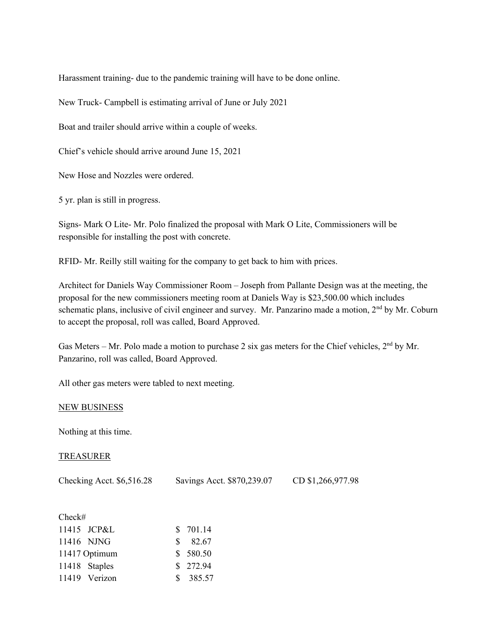Harassment training- due to the pandemic training will have to be done online.

New Truck- Campbell is estimating arrival of June or July 2021

Boat and trailer should arrive within a couple of weeks.

Chief's vehicle should arrive around June 15, 2021

New Hose and Nozzles were ordered.

5 yr. plan is still in progress.

Signs- Mark O Lite- Mr. Polo finalized the proposal with Mark O Lite, Commissioners will be responsible for installing the post with concrete.

RFID- Mr. Reilly still waiting for the company to get back to him with prices.

Architect for Daniels Way Commissioner Room – Joseph from Pallante Design was at the meeting, the proposal for the new commissioners meeting room at Daniels Way is \$23,500.00 which includes schematic plans, inclusive of civil engineer and survey. Mr. Panzarino made a motion,  $2<sup>nd</sup>$  by Mr. Coburn to accept the proposal, roll was called, Board Approved.

Gas Meters – Mr. Polo made a motion to purchase 2 six gas meters for the Chief vehicles,  $2<sup>nd</sup>$  by Mr. Panzarino, roll was called, Board Approved.

All other gas meters were tabled to next meeting.

### NEW BUSINESS

Nothing at this time.

## TREASURER

Checking Acct. \$6,516.28 Savings Acct. \$870,239.07 CD \$1,266,977.98

| Check# |               |          |
|--------|---------------|----------|
|        | 11415 JCP&L   | \$701.14 |
|        | 11416 NJNG    | \$82.67  |
|        | 11417 Optimum | \$580.50 |
|        | 11418 Staples | \$272.94 |
|        | 11419 Verizon | \$385.57 |